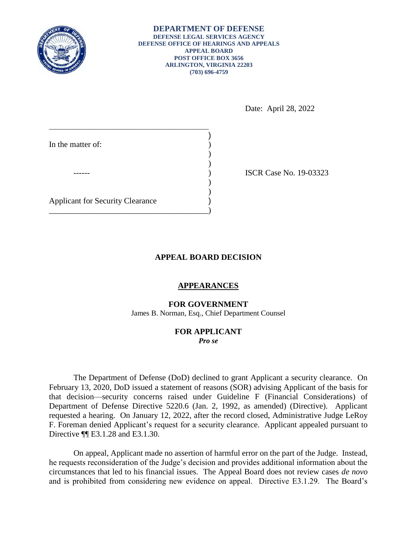

**DEPARTMENT OF DEFENSE DEFENSE LEGAL SERVICES AGENCY DEFENSE OFFICE OF HEARINGS AND APPEALS APPEAL BOARD POST OFFICE BOX 3656 ARLINGTON, VIRGINIA 22203 (703) 696-4759** 

Date: April 28, 2022

| In the matter of:                       |  |
|-----------------------------------------|--|
|                                         |  |
|                                         |  |
| <b>Applicant for Security Clearance</b> |  |

ISCR Case No. 19-03323

## **APPEAL BOARD DECISION**

## **APPEARANCES**

**FOR GOVERNMENT** 

James B. Norman, Esq., Chief Department Counsel

## **FOR APPLICANT**  *Pro se*

 The Department of Defense (DoD) declined to grant Applicant a security clearance. On February 13, 2020, DoD issued a statement of reasons (SOR) advising Applicant of the basis for Department of Defense Directive 5220.6 (Jan. 2, 1992, as amended) (Directive). Applicant requested a hearing. On January 12, 2022, after the record closed, Administrative Judge LeRoy F. Foreman denied Applicant's request for a security clearance. Applicant appealed pursuant to that decision—security concerns raised under Guideline F (Financial Considerations) of Directive ¶¶ E3.1.28 and E3.1.30.

 he requests reconsideration of the Judge's decision and provides additional information about the circumstances that led to his financial issues. The Appeal Board does not review cases *de novo*  and is prohibited from considering new evidence on appeal. Directive E3.1.29. The Board's On appeal, Applicant made no assertion of harmful error on the part of the Judge. Instead,